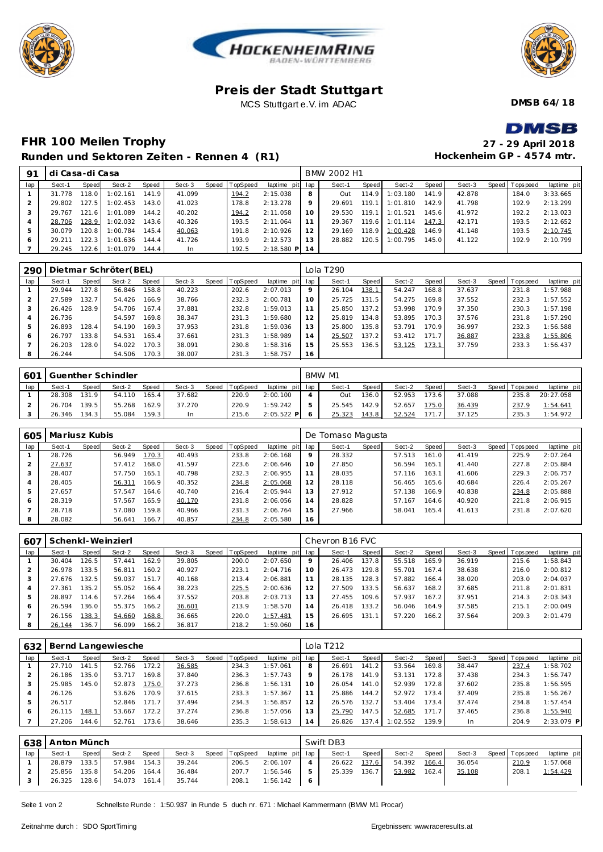





#### **Pre is der Stadt Stuttgart** MCS Stuttgart e.V. im ADAC

**DMSB 64/18**

# **DMSB**

**Hockenheim GP - 4574 mtr.**

### **FHR 100 Meilen Trophy 27 - 29 April 2018 Runden und Sektoren Ze iten - Rennen 4 (R1)**

| 91  | di Casa-di Casa |       |                |       |        |  |                |                 |         | BMW 2002 H1 |         |          |         |        |                 |             |
|-----|-----------------|-------|----------------|-------|--------|--|----------------|-----------------|---------|-------------|---------|----------|---------|--------|-----------------|-------------|
| lap | Sect-1          | Speed | Sect-2         | Speed | Sect-3 |  | Speed TopSpeed | laptime pit lap |         | Sect-1      | Speed I | Sect-2   | Speed I | Sect-3 | Speed Tops peed | laptime pit |
|     | 31.778          | 118.0 | 1:02.161       | 141.9 | 41.099 |  | 194.2          | 2:15.038        | 8       | Out         | 114.9   | 1:03.180 | 141.9   | 42.878 | 184.0           | 3:33.665    |
|     | 29.802          | 127.5 | 1:02.453       | 143.0 | 41.023 |  | 178.8          | 2:13.278        | $\circ$ | 29.691      | 119.1   | 1:01.810 | 142.9   | 41.798 | 192.9           | 2:13.299    |
|     | 29.767          | 121.6 | 1:01.089       | 144.2 | 40.202 |  | 194.2          | 2:11.058        | 10      | 29.530      | 119.1   | 1:01.521 | 145.6   | 41.972 | 192.2           | 2:13.023    |
|     | 28.706          | 128.9 | 1:02.032       | 143.6 | 40.326 |  | 193.5          | 2:11.064        |         | 29.367      | 119.6   | 1:01.114 | 147.3   | 42.171 | 193.5           | 2:12.652    |
|     | 30.079          | 120.8 | 1:00.784       | 145.4 | 40.063 |  | 191.8          | 2:10.926        |         | 29.169      | 118.9   | 1:00.428 | 146.9   | 41.148 | 193.5           | 2:10.745    |
|     | 29.211          | 122.3 | 1:01.636       | 144.4 | 41.726 |  | 193.9          | 2:12.573        |         | 28.882      | 120.5   | 1:00.795 | 145.0   | 41.122 | 192.9           | 2:10.799    |
|     | 29.245          |       | 122.6 1:01.079 | 144.4 | In     |  | 192.5          | $2:18.580$ P 14 |         |             |         |          |         |        |                 |             |

| 290 |        |       | Dietmar Schröter(BEL) |       |        |       |          |                 |    | Lola T290 |         |        |       |        |                 |             |
|-----|--------|-------|-----------------------|-------|--------|-------|----------|-----------------|----|-----------|---------|--------|-------|--------|-----------------|-------------|
| lap | Sect-1 | Speed | Sect-2                | Speed | Sect-3 | Speed | TopSpeed | laptime pit lap |    | Sect-1    | Speed I | Sect-2 | Speed | Sect-3 | Speed Tops peed | laptime pit |
|     | 29.944 | 127.8 | 56.846                | 158.8 | 40.223 |       | 202.6    | 2:07.013        | 9  | 26.104    | 138.1   | 54.247 | 168.8 | 37.637 | 231.8           | 1:57.988    |
|     | 27.589 | 132.7 | 54.426                | 166.9 | 38.766 |       | 232.3    | 2:00.781        | 10 | 25.725    | 131.5   | 54.275 | 169.8 | 37.552 | 232.3           | 1:57.552    |
|     | 26.426 | 128.9 | 54.706                | 167.4 | 37.881 |       | 232.8    | 1:59.013        |    | 25.850    | 137.2   | 53.998 | 170.9 | 37.350 | 230.3           | 1:57.198    |
|     | 26.736 |       | 54.597                | 169.8 | 38.347 |       | 231.3    | 1:59.680        | 12 | 25.819    | 134.8   | 53.895 | 170.3 | 37.576 | 231.8           | 1:57.290    |
|     | 26.893 | 128.4 | 54.190                | 169.3 | 37.953 |       | 231.8    | 1:59.036        | 13 | 25.800    | 135.8   | 53.791 | 170.9 | 36.997 | 232.3           | 1:56.588    |
| 6   | 26.797 | 133.8 | 54.531                | 165.4 | 37.661 |       | 231.3    | 1:58.989        | 14 | 25.507    | 137.2   | 53.412 | 171.7 | 36.887 | 233.8           | 1:55.806    |
|     | 26.203 | 128.0 | 54.022                | 170.3 | 38.091 |       | 230.8    | 1:58.316        | 15 | 25.553    | 136.5   | 53.125 | 173.1 | 37.759 | 233.3           | 1:56.437    |
|     | 26.244 |       | 54.506                | 170.3 | 38,007 |       | 231.3    | 1:58.757        | 16 |           |         |        |       |        |                 |             |

| 601 |        |       | Guenther Schindler |       |        |                |              |              | BMW M1 |       |        |       |        |                |             |
|-----|--------|-------|--------------------|-------|--------|----------------|--------------|--------------|--------|-------|--------|-------|--------|----------------|-------------|
| lap | Sect-1 | Speed | Sect-2             | Speed | Sect-3 | Speed TopSpeed | laptime pit  | lap          | Sect-1 | Speed | Sect-2 | Speed | Sect-3 | Speed Topspeed | laptime pit |
|     | 28.308 | 131.9 | 54.110             | 165.4 | 37.682 | 220.9          | 2:00.100     |              | Out    | 136.0 | 52.953 | 173.6 | 37.088 | 235.8          | 20:27.058   |
|     | 26.704 | 139.5 | 55.268             | 162.9 | 37.270 | 220.9          | 1:59.242     | .5           | 25.545 | 142.9 | 52.657 | 175.0 | 36.439 | 237.9          | 1:54.641    |
|     | 26.346 | 134.3 | 55.084             | 159.3 |        | 215.6          | $2:05.522$ P | <sub>o</sub> | 25.323 | 143.8 | 52.524 | 171.  | 37.125 | 235.3          | 1:54.972    |

| 605 | Mariusz Kubis |       |        |       |        |       |          |                 |         | De Tomaso Magusta |         |        |                    |        |                 |             |
|-----|---------------|-------|--------|-------|--------|-------|----------|-----------------|---------|-------------------|---------|--------|--------------------|--------|-----------------|-------------|
| lap | Sect-1        | Speed | Sect-2 | Speed | Sect-3 | Speed | TopSpeed | laptime pit lap |         | Sect-1            | Speed I | Sect-2 | Speed              | Sect-3 | Speed Tops peed | laptime pit |
|     | 28.726        |       | 56.949 | 170.3 | 40.493 |       | 233.8    | 2:06.168        | $\circ$ | 28.332            |         | 57.513 | 161.0 <sub>1</sub> | 41.419 | 225.9           | 2:07.264    |
| 2   | 27.637        |       | 57.412 | 168.0 | 41.597 |       | 223.6    | 2:06.646        | 10      | 27.850            |         | 56.594 | 165.1              | 41.440 | 227.8           | 2:05.884    |
| 3   | 28.407        |       | 57.750 | 165.1 | 40.798 |       | 232.3    | 2:06.955        |         | 28.035            |         | 57.116 | 163.1              | 41.606 | 229.3           | 2:06.757    |
| 4   | 28.405        |       | 56.311 | 166.9 | 40.352 |       | 234.8    | 2:05.068        | 12      | 28.118            |         | 56.465 | 165.6              | 40.684 | 226.4           | 2:05.267    |
| 5   | 27.657        |       | 57.547 | 164.6 | 40.740 |       | 216.4    | 2:05.944        | 13      | 27.912            |         | 57.138 | 166.9              | 40.838 | 234.8           | 2:05.888    |
| 6   | 28.319        |       | 57.567 | 165.9 | 40.170 |       | 231.8    | 2:06.056        | 14      | 28.828            |         | 57.167 | 164.6              | 40.920 | 221.8           | 2:06.915    |
|     | 28.718        |       | 57.080 | 159.8 | 40.966 |       | 231.3    | 2:06.764        | 15      | 27.966            |         | 58.041 | 165.4              | 41.613 | 231.8           | 2:07.620    |
| 8   | 28.082        |       | 56.641 | 166.7 | 40.857 |       | 234.8    | 2:05.580        | 16      |                   |         |        |                    |        |                 |             |

| 607 |        |       | Schenkl-Weinzierl |       |        |       |                 |                 |    | Chevron B <sub>16</sub> FVC |       |        |       |        |                 |             |
|-----|--------|-------|-------------------|-------|--------|-------|-----------------|-----------------|----|-----------------------------|-------|--------|-------|--------|-----------------|-------------|
| lap | Sect-1 | Speed | Sect-2            | Speed | Sect-3 | Speed | <b>TopSpeed</b> | laptime pit lap |    | Sect-1                      | Speed | Sect-2 | Speed | Sect-3 | Speed Tops peed | laptime pit |
|     | 30.404 | 126.5 | 57.441            | 162.9 | 39.805 |       | 200.0           | 2:07.650        | 9  | 26.406                      | 137.8 | 55.518 | 165.9 | 36.919 | 215.6           | 1:58.843    |
|     | 26.978 | 133.5 | 56.811            | 160.2 | 40.927 |       | 223.1           | 2:04.716        | 10 | 26.473                      | 129.8 | 55.701 | 167.4 | 38.638 | 216.0           | 2:00.812    |
|     | 27.676 | 132.5 | 59.037            | 151.7 | 40.168 |       | 213.4           | 2:06.881        |    | 28.135                      | 128.3 | 57.882 | 166.4 | 38.020 | 203.0           | 2:04.037    |
|     | 27.361 | 135.2 | 55.052            | 166.4 | 38.223 |       | 225.5           | 2:00.636        | 12 | 27.509                      | 133.5 | 56.637 | 168.2 | 37.685 | 211.8           | 2:01.831    |
|     | 28.897 | 14.6  | 57.264            | 166.4 | 37.552 |       | 203.8           | 2:03.713        | 13 | 27.455                      | 109.6 | 57.937 | 167.2 | 37.951 | 214.3           | 2:03.343    |
| 6   | 26.594 | 136.0 | 55.375            | 166.2 | 36.601 |       | 213.9           | 1:58.570        | 14 | 26.418                      | 133.2 | 56.046 | 164.9 | 37.585 | 215.1           | 2:00.049    |
|     | 26.156 | 138.3 | 54.660            | 168.8 | 36.665 |       | 220.0           | 1:57.481        | 15 | 26.695                      | 131.1 | 57.220 | 166.2 | 37.564 | 209.3           | 2:01.479    |
|     | 26.144 | 136.7 | 56.099            | 166.2 | 36.817 |       | 218.2           | 1:59.060        | 16 |                             |       |        |       |        |                 |             |

| 632 |        |       | Bernd Langewiesche |       |        |                |             |     | Lola T212 |                    |          |       |        |                |              |
|-----|--------|-------|--------------------|-------|--------|----------------|-------------|-----|-----------|--------------------|----------|-------|--------|----------------|--------------|
| lap | Sect-1 | Speed | Sect-2             | Speed | Sect-3 | Speed TopSpeed | laptime pit | lap | Sect-1    | Speed              | Sect-2   | Speed | Sect-3 | Speed Topspeed | laptime pit  |
|     | 27.710 | 141.5 | 52.766             | 172.2 | 36.585 | 234.3          | 1:57.061    | 8   | 26.691    | 141.2 <sub>1</sub> | 53.564   | 169.8 | 38.447 | 237.4          | 1:58.702     |
|     | 26.186 | 135.0 | 53.717             | 169.8 | 37.840 | 236.3          | 1:57.743    | 9   | 26.178    | 141<br>.9          | 53.131   | 172.8 | 37.438 | 234.3          | 1:56.747     |
|     | 25.985 | 145.0 | 52.873             | 175.0 | 37.273 | 236.8          | 1:56.131    | 10  | 26.054    | 141.0              | 52.939   | 172.8 | 37.602 | 235.8          | 1:56.595     |
|     | 26.126 |       | 53.626             | 170.9 | 37.615 | 233.3          | 1:57.367    |     | 25.886    | 144.2              | 52.972   | 173.4 | 37.409 | 235.8          | 1:56.267     |
|     | 26.517 |       | 52.846             | 171.7 | 37.494 | 234.3          | 1:56.857    | 12  | 26.576    | 132.7 <sub>1</sub> | 53.404   | 173.4 | 37.474 | 234.8          | 1:57.454     |
| 6   | 26.115 | 148.1 | 53.667             | 172.2 | 37.274 | 236.8          | 1:57.056    | 13  | 25.790    | 147.5              | 52.685   | 171.7 | 37.465 | 236.8          | 1:55.940     |
|     | 27.206 | 144.6 | 52.761             | 173.6 | 38.646 | 235.3          | 1:58.613    | 14  | 26.826    | 137.4              | 1:02.552 | 139.9 | In     | 204.9          | $2:33.079$ P |

| 638 | Anton Münch  |       |              |       |        |                |                 |   | Swift DB3    |       |        |       |        |                 |             |
|-----|--------------|-------|--------------|-------|--------|----------------|-----------------|---|--------------|-------|--------|-------|--------|-----------------|-------------|
| lap | Sect-1       | Speed | Sect-2       | Speed | Sect-3 | Speed TopSpeed | laptime pit lap |   | Sect-1       | Speed | Sect-2 | Speed | Sect-3 | Speed Tops peed | laptime pit |
|     | 28.879       | 133.5 | 57.984       | 154.3 | 39.244 | 206.5          | 2:06.107        |   | 26.622 137.6 |       | 54.392 | 166.4 | 36.054 | 210.9           | 1:57.068    |
|     | 25.856       | 135.8 | 54.206       | 164.4 | 36.484 | 207.7          | 1:56.546        | 5 | 25.339       | 136.7 | 53.982 | 162.4 | 35.108 | 208.7           | 1:54.429    |
|     | 26.325 128.6 |       | 54.073 161.4 |       | 35.744 | 208.1          | 1:56.142        | 6 |              |       |        |       |        |                 |             |

Seite 1 von 2 Schnellste Runde : 1:50.937 in Runde 5 duch nr. 671 : Michael Kammermann (BMW M1 Procar)